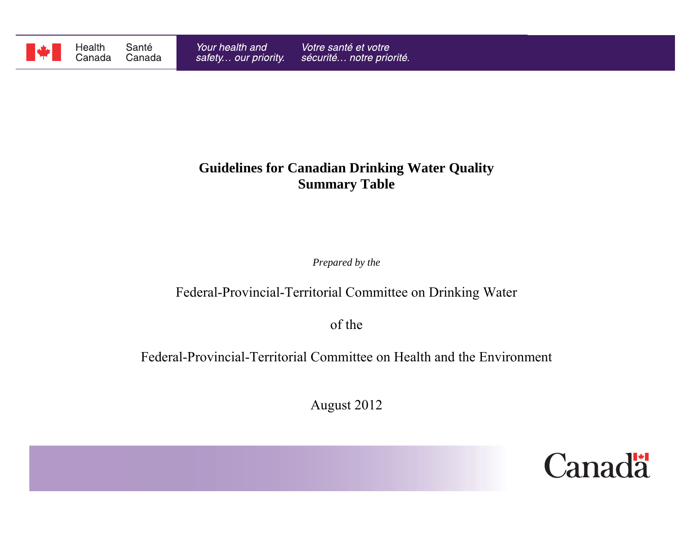

# **Guidelines for Canadian Drinking Water Quality Summary Table**

*Prepared by the*

# Federal-Provincial-Territorial Committee on Drinking Water

of the

Federal-Provincial-Territorial Committee on Health and the Environment

August 2012

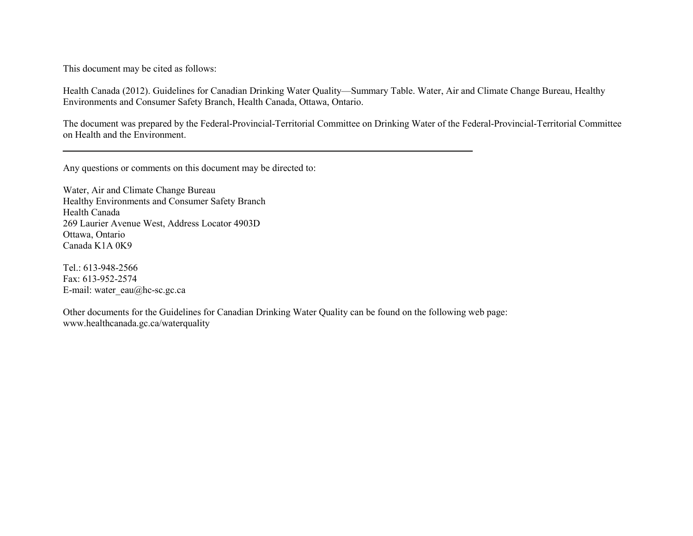This document may be cited as follows:

Health Canada (2012). Guidelines for Canadian Drinking Water Quality—Summary Table. Water, Air and Climate Change Bureau, Healthy Environments and Consumer Safety Branch, Health Canada, Ottawa, Ontario.

The document was prepared by the Federal-Provincial-Territorial Committee on Drinking Water of the Federal-Provincial-Territorial Committee on Health and the Environment.

Any questions or comments on this document may be directed to:

Water, Air and Climate Change Bureau Healthy Environments and Consumer Safety Branch Health Canada 269 Laurier Avenue West, Address Locator 4903D Ottawa, Ontario Canada K1A 0K9

Tel.: 613-948-2566 Fax: 613-952-2574 E-mail: water\_eau@hc-sc.gc.ca

Other documents for the Guidelines for Canadian Drinking Water Quality can be found on the following web page: www.healthcanada.gc.ca/waterquality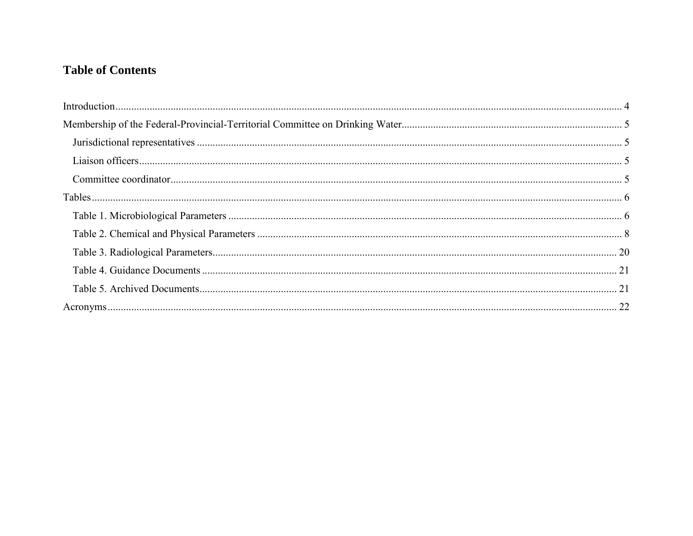## **Table of Contents**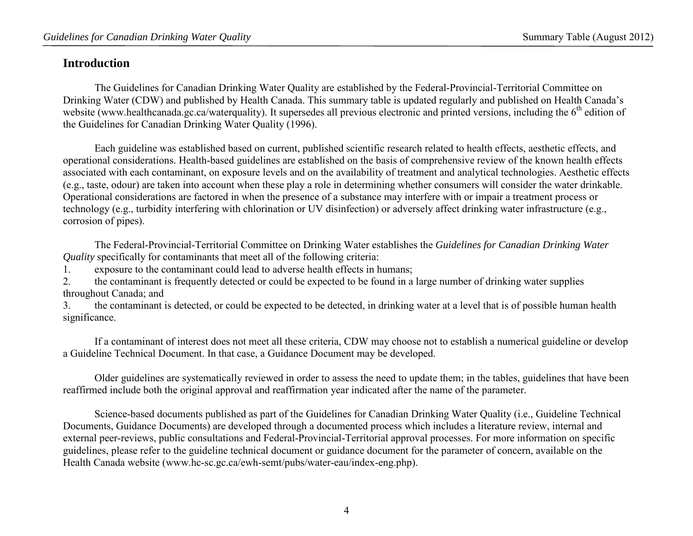### <span id="page-3-0"></span>**Introduction**

The Guidelines for Canadian Drinking Water Quality are established by the Federal-Provincial-Territorial Committee on Drinking Water (CDW) and published by Health Canada. This summary table is updated regularly and published on Health Canada's website (www.healthcanada.gc.ca/waterquality). It supersedes all previous electronic and printed versions, including the 6<sup>th</sup> edition of the Guidelines for Canadian Drinking Water Quality (1996).

Each guideline was established based on current, published scientific research related to health effects, aesthetic effects, and operational considerations. Health-based guidelines are established on the basis of comprehensive review of the known health effects associated with each contaminant, on exposure levels and on the availability of treatment and analytical technologies. Aesthetic effects (e.g., taste, odour) are taken into account when these play a role in determining whether consumers will consider the water drinkable. Operational considerations are factored in when the presence of a substance may interfere with or impair a treatment process or technology (e.g., turbidity interfering with chlorination or UV disinfection) or adversely affect drinking water infrastructure (e.g., corrosion of pipes).

The Federal-Provincial-Territorial Committee on Drinking Water establishes the *Guidelines for Canadian Drinking Water Quality* specifically for contaminants that meet all of the following criteria:

1. exposure to the contaminant could lead to adverse health effects in humans;

2. the contaminant is frequently detected or could be expected to be found in a large number of drinking water supplies throughout Canada; and

3. the contaminant is detected, or could be expected to be detected, in drinking water at a level that is of possible human health significance.

If a contaminant of interest does not meet all these criteria, CDW may choose not to establish a numerical guideline or develop a Guideline Technical Document. In that case, a Guidance Document may be developed.

Older guidelines are systematically reviewed in order to assess the need to update them; in the tables, guidelines that have been reaffirmed include both the original approval and reaffirmation year indicated after the name of the parameter.

Science-based documents published as part of the Guidelines for Canadian Drinking Water Quality (i.e., Guideline Technical Documents, Guidance Documents) are developed through a documented process which includes a literature review, internal and external peer-reviews, public consultations and Federal-Provincial-Territorial approval processes. For more information on specific guidelines, please refer to the guideline technical document or guidance document for the parameter of concern, available on the Health Canada website (www.hc-sc.gc.ca/ewh-semt/pubs/water-eau/index-eng.php).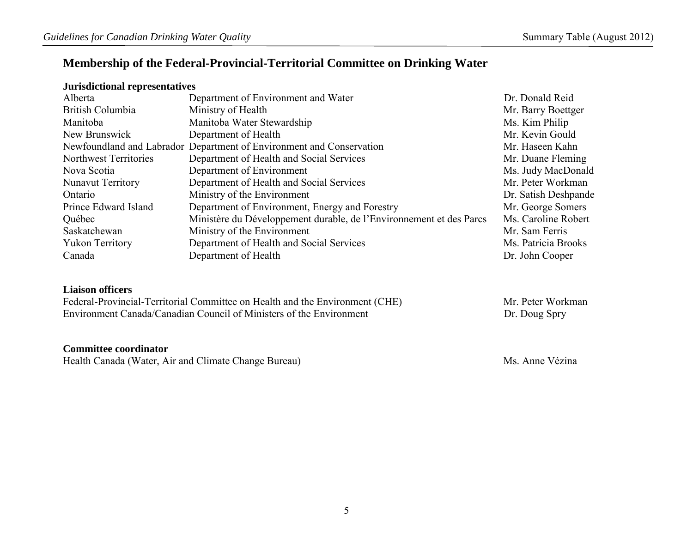### <span id="page-4-0"></span>**Membership of the Federal-Provincial-Territorial Committee on Drinking Water**

### <span id="page-4-1"></span>**Jurisdictional representatives**

| Alberta                      | Department of Environment and Water                                  | Dr. Donald Reid      |
|------------------------------|----------------------------------------------------------------------|----------------------|
| British Columbia             | Ministry of Health                                                   | Mr. Barry Boettger   |
| Manitoba                     | Manitoba Water Stewardship                                           | Ms. Kim Philip       |
| New Brunswick                | Department of Health                                                 | Mr. Kevin Gould      |
|                              | Newfoundland and Labrador Department of Environment and Conservation | Mr. Haseen Kahn      |
| <b>Northwest Territories</b> | Department of Health and Social Services                             | Mr. Duane Fleming    |
| Nova Scotia                  | Department of Environment                                            | Ms. Judy MacDonald   |
| <b>Nunavut Territory</b>     | Department of Health and Social Services                             | Mr. Peter Workman    |
| Ontario                      | Ministry of the Environment                                          | Dr. Satish Deshpande |
| Prince Edward Island         | Department of Environment, Energy and Forestry                       | Mr. George Somers    |
| Québec                       | Ministère du Développement durable, de l'Environnement et des Parcs  | Ms. Caroline Robert  |
| Saskatchewan                 | Ministry of the Environment                                          | Mr. Sam Ferris       |
| <b>Yukon Territory</b>       | Department of Health and Social Services                             | Ms. Patricia Brooks  |
| Canada                       | Department of Health                                                 | Dr. John Cooper      |

### <span id="page-4-2"></span>**Liaison officers**

Federal-Provincial-Territorial Committee on Health and the Environment (CHE) Mr. Peter Workman<br>Environment Canada/Canadian Council of Ministers of the Environment Mr. Doug Spry Environment Canada/Canadian Council of Ministers of the Environment

### <span id="page-4-3"></span>**Committee coordinator**

Health Canada (Water, Air and Climate Change Bureau) Ms. Anne Vézina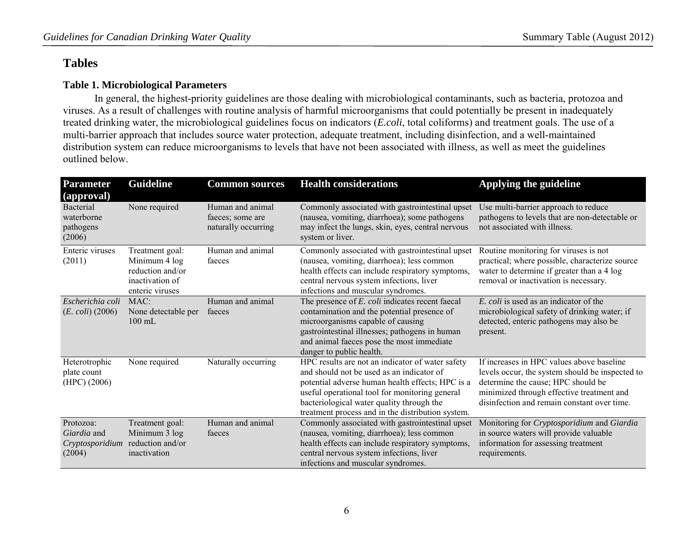### <span id="page-5-0"></span>**Tables**

### <span id="page-5-1"></span>**Table 1. Microbiological Parameters**

 In general, the highest-priority guidelines are those dealing with microbiological contaminants, such as bacteria, protozoa and viruses. As a result of challenges with routine analysis of harmful microorganisms that could potentially be present in inadequately treated drinking water, the microbiological guidelines focus on indicators (*E.coli*, total coliforms) and treatment goals. The use of a multi-barrier approach that includes source water protection, adequate treatment, including disinfection, and a well-maintained distribution system can reduce microorganisms to levels that have not been associated with illness, as well as meet the guidelines outlined below.

| <b>Parameter</b><br>(approval)                        | <b>Guideline</b>                                                                           | <b>Common sources</b>                                       | <b>Health considerations</b>                                                                                                                                                                                                                                                                          | Applying the guideline                                                                                                                                                                                                         |
|-------------------------------------------------------|--------------------------------------------------------------------------------------------|-------------------------------------------------------------|-------------------------------------------------------------------------------------------------------------------------------------------------------------------------------------------------------------------------------------------------------------------------------------------------------|--------------------------------------------------------------------------------------------------------------------------------------------------------------------------------------------------------------------------------|
| Bacterial<br>waterborne<br>pathogens<br>(2006)        | None required                                                                              | Human and animal<br>faeces; some are<br>naturally occurring | Commonly associated with gastrointestinal upset<br>(nausea, vomiting, diarrhoea); some pathogens<br>may infect the lungs, skin, eyes, central nervous<br>system or liver.                                                                                                                             | Use multi-barrier approach to reduce<br>pathogens to levels that are non-detectable or<br>not associated with illness.                                                                                                         |
| Enteric viruses<br>(2011)                             | Treatment goal:<br>Minimum 4 log<br>reduction and/or<br>inactivation of<br>enteric viruses | Human and animal<br>faeces                                  | Commonly associated with gastrointestinal upset<br>(nausea, vomiting, diarrhoea); less common<br>health effects can include respiratory symptoms,<br>central nervous system infections, liver<br>infections and muscular syndromes.                                                                   | Routine monitoring for viruses is not<br>practical; where possible, characterize source<br>water to determine if greater than a 4 log<br>removal or inactivation is necessary.                                                 |
| Escherichia coli<br>$(E. \, coli) (2006)$             | MAC:<br>None detectable per<br>$100 \text{ mL}$                                            | Human and animal<br>faeces                                  | The presence of E. coli indicates recent faecal<br>contamination and the potential presence of<br>microorganisms capable of causing<br>gastrointestinal illnesses; pathogens in human<br>and animal faeces pose the most immediate<br>danger to public health.                                        | E. coli is used as an indicator of the<br>microbiological safety of drinking water; if<br>detected, enteric pathogens may also be<br>present.                                                                                  |
| Heterotrophic<br>plate count<br>(HPC) (2006)          | None required                                                                              | Naturally occurring                                         | HPC results are not an indicator of water safety<br>and should not be used as an indicator of<br>potential adverse human health effects; HPC is a<br>useful operational tool for monitoring general<br>bacteriological water quality through the<br>treatment process and in the distribution system. | If increases in HPC values above baseline<br>levels occur, the system should be inspected to<br>determine the cause; HPC should be<br>minimized through effective treatment and<br>disinfection and remain constant over time. |
| Protozoa:<br>Giardia and<br>Cryptosporidium<br>(2004) | Treatment goal:<br>Minimum 3 log<br>reduction and/or<br>inactivation                       | Human and animal<br>faeces                                  | Commonly associated with gastrointestinal upset<br>(nausea, vomiting, diarrhoea); less common<br>health effects can include respiratory symptoms,<br>central nervous system infections, liver<br>infections and muscular syndromes.                                                                   | Monitoring for Cryptosporidium and Giardia<br>in source waters will provide valuable<br>information for assessing treatment<br>requirements.                                                                                   |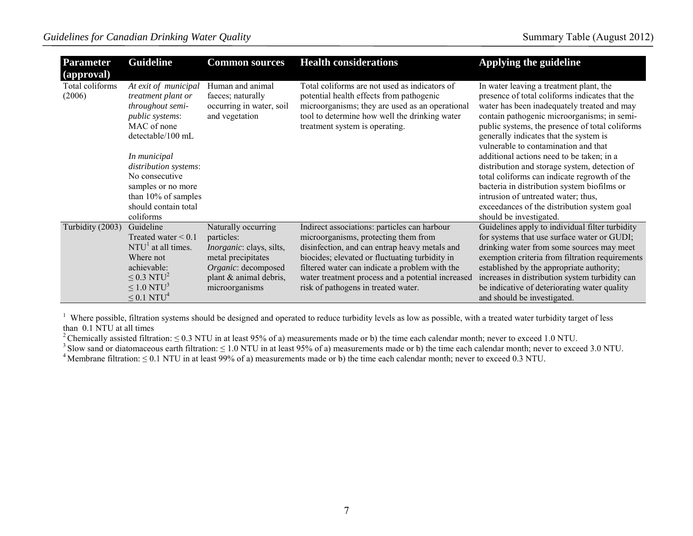| <b>Parameter</b><br>(approval) | <b>Guideline</b>                                                                                                                                                                                                                                                             | <b>Common sources</b>                                                               | <b>Health considerations</b>                                                                                                                                                                                                    | Applying the guideline                                                                                                                                                                                                                                                                                                                                                                                                                                                                                                                                                                                                                     |
|--------------------------------|------------------------------------------------------------------------------------------------------------------------------------------------------------------------------------------------------------------------------------------------------------------------------|-------------------------------------------------------------------------------------|---------------------------------------------------------------------------------------------------------------------------------------------------------------------------------------------------------------------------------|--------------------------------------------------------------------------------------------------------------------------------------------------------------------------------------------------------------------------------------------------------------------------------------------------------------------------------------------------------------------------------------------------------------------------------------------------------------------------------------------------------------------------------------------------------------------------------------------------------------------------------------------|
| Total coliforms<br>(2006)      | At exit of municipal<br>treatment plant or<br>throughout semi-<br><i>public systems:</i><br>MAC of none<br>detectable/100 mL<br>In municipal<br>distribution systems:<br>No consecutive<br>samples or no more<br>than $10\%$ of samples<br>should contain total<br>coliforms | Human and animal<br>faeces; naturally<br>occurring in water, soil<br>and vegetation | Total coliforms are not used as indicators of<br>potential health effects from pathogenic<br>microorganisms; they are used as an operational<br>tool to determine how well the drinking water<br>treatment system is operating. | In water leaving a treatment plant, the<br>presence of total coliforms indicates that the<br>water has been inadequately treated and may<br>contain pathogenic microorganisms; in semi-<br>public systems, the presence of total coliforms<br>generally indicates that the system is<br>vulnerable to contamination and that<br>additional actions need to be taken; in a<br>distribution and storage system, detection of<br>total coliforms can indicate regrowth of the<br>bacteria in distribution system biofilms or<br>intrusion of untreated water; thus,<br>exceedances of the distribution system goal<br>should be investigated. |
| Turbidity (2003)               | Guideline<br>Treated water $\leq 0.1$                                                                                                                                                                                                                                        | Naturally occurring<br>particles:                                                   | Indirect associations: particles can harbour<br>microorganisms, protecting them from                                                                                                                                            | Guidelines apply to individual filter turbidity<br>for systems that use surface water or GUDI;                                                                                                                                                                                                                                                                                                                                                                                                                                                                                                                                             |
|                                | $NTU1$ at all times.<br>Where not                                                                                                                                                                                                                                            | <i>Inorganic</i> : clays, silts,<br>metal precipitates                              | disinfection, and can entrap heavy metals and<br>biocides; elevated or fluctuating turbidity in                                                                                                                                 | drinking water from some sources may meet<br>exemption criteria from filtration requirements                                                                                                                                                                                                                                                                                                                                                                                                                                                                                                                                               |
|                                | achievable:                                                                                                                                                                                                                                                                  | Organic: decomposed                                                                 | filtered water can indicate a problem with the                                                                                                                                                                                  | established by the appropriate authority;                                                                                                                                                                                                                                                                                                                                                                                                                                                                                                                                                                                                  |
|                                | $\leq$ 0.3 NTU <sup>2</sup>                                                                                                                                                                                                                                                  | plant & animal debris,                                                              | water treatment process and a potential increased                                                                                                                                                                               | increases in distribution system turbidity can                                                                                                                                                                                                                                                                                                                                                                                                                                                                                                                                                                                             |
|                                | $\leq$ 1.0 NTU <sup>3</sup>                                                                                                                                                                                                                                                  | microorganisms                                                                      | risk of pathogens in treated water.                                                                                                                                                                                             | be indicative of deteriorating water quality                                                                                                                                                                                                                                                                                                                                                                                                                                                                                                                                                                                               |
|                                | $\leq$ 0.1 NTU <sup>4</sup>                                                                                                                                                                                                                                                  |                                                                                     |                                                                                                                                                                                                                                 | and should be investigated.                                                                                                                                                                                                                                                                                                                                                                                                                                                                                                                                                                                                                |

<sup>1</sup> Where possible, filtration systems should be designed and operated to reduce turbidity levels as low as possible, with a treated water turbidity target of less

than 0.1 NTU at all times<br><sup>2</sup> Chemically assisted filtration: ≤ 0.3 NTU in at least 95% of a) measurements made or b) the time each calendar month; never to exceed 1.0 NTU.

<sup>3</sup> Slow sand or diatomaceous earth filtration:  $\leq 1.0$  NTU in at least 95% of a) measurements made or b) the time each calendar month; never to exceed 3.0 NTU.<br><sup>4</sup> Membrane filtration:  $\leq 0.1$  NTU in at least 99% of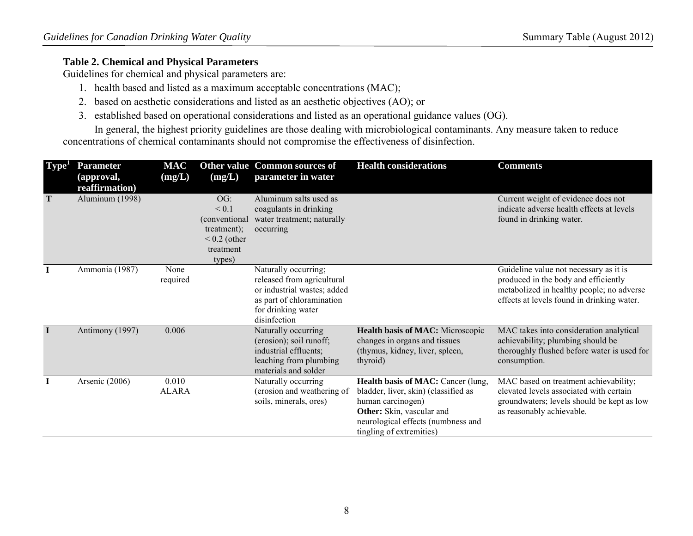### <span id="page-7-0"></span>**Table 2. Chemical and Physical Parameters**

Guidelines for chemical and physical parameters are:

- 1. health based and listed as a maximum acceptable concentrations (MAC);
- 2. based on aesthetic considerations and listed as an aesthetic objectives (AO); or
- 3. established based on operational considerations and listed as an operational guidance values (OG).

In general, the highest priority guidelines are those dealing with microbiological contaminants. Any measure taken to reduce concentrations of chemical contaminants should not compromise the effectiveness of disinfection.

| Type <sup>1</sup> | <b>Parameter</b><br>(approval,<br>reaffirmation) | <b>MAC</b><br>(mg/L)  | (mg/L)                                                                                | <b>Other value Common sources of</b><br>parameter in water                                                                                           | <b>Health considerations</b>                                                                                                                                                                   | <b>Comments</b>                                                                                                                                                           |
|-------------------|--------------------------------------------------|-----------------------|---------------------------------------------------------------------------------------|------------------------------------------------------------------------------------------------------------------------------------------------------|------------------------------------------------------------------------------------------------------------------------------------------------------------------------------------------------|---------------------------------------------------------------------------------------------------------------------------------------------------------------------------|
| T                 | Aluminum (1998)                                  |                       | OG:<br>< 0.1<br>(conventional<br>treatment);<br>$< 0.2$ (other<br>treatment<br>types) | Aluminum salts used as<br>coagulants in drinking<br>water treatment; naturally<br>occurring                                                          |                                                                                                                                                                                                | Current weight of evidence does not<br>indicate adverse health effects at levels<br>found in drinking water.                                                              |
| I                 | Ammonia (1987)                                   | None<br>required      |                                                                                       | Naturally occurring;<br>released from agricultural<br>or industrial wastes; added<br>as part of chloramination<br>for drinking water<br>disinfection |                                                                                                                                                                                                | Guideline value not necessary as it is<br>produced in the body and efficiently<br>metabolized in healthy people; no adverse<br>effects at levels found in drinking water. |
| -1                | Antimony (1997)                                  | 0.006                 |                                                                                       | Naturally occurring<br>(erosion); soil runoff;<br>industrial effluents;<br>leaching from plumbing<br>materials and solder                            | Health basis of MAC: Microscopic<br>changes in organs and tissues<br>(thymus, kidney, liver, spleen,<br>thyroid)                                                                               | MAC takes into consideration analytical<br>achievability; plumbing should be<br>thoroughly flushed before water is used for<br>consumption.                               |
| $\bf{I}$          | Arsenic (2006)                                   | 0.010<br><b>ALARA</b> |                                                                                       | Naturally occurring<br>(erosion and weathering of<br>soils, minerals, ores)                                                                          | Health basis of MAC: Cancer (lung,<br>bladder, liver, skin) (classified as<br>human carcinogen)<br>Other: Skin, vascular and<br>neurological effects (numbness and<br>tingling of extremities) | MAC based on treatment achievability;<br>elevated levels associated with certain<br>groundwaters; levels should be kept as low<br>as reasonably achievable.               |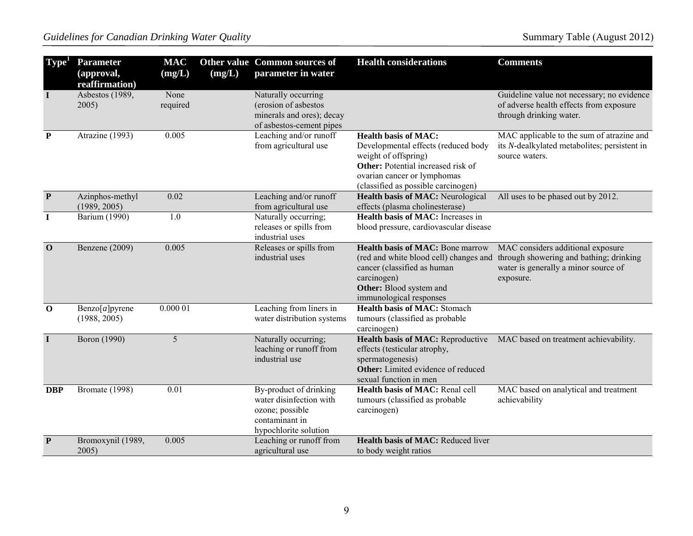| Type <sup>1</sup> | <b>Parameter</b><br>(approval,<br>reaffirmation) | <b>MAC</b><br>(mg/L) | (mg/L) | Other value Common sources of<br>parameter in water                                                             | <b>Health considerations</b>                                                                                                                                                                           | <b>Comments</b>                                                                                                                   |
|-------------------|--------------------------------------------------|----------------------|--------|-----------------------------------------------------------------------------------------------------------------|--------------------------------------------------------------------------------------------------------------------------------------------------------------------------------------------------------|-----------------------------------------------------------------------------------------------------------------------------------|
| $\bf{I}$          | Asbestos (1989,<br>2005)                         | None<br>required     |        | Naturally occurring<br>(erosion of asbestos<br>minerals and ores); decay<br>of asbestos-cement pipes            |                                                                                                                                                                                                        | Guideline value not necessary; no evidence<br>of adverse health effects from exposure<br>through drinking water.                  |
| $\mathbf{P}$      | Atrazine (1993)                                  | 0.005                |        | Leaching and/or runoff<br>from agricultural use                                                                 | <b>Health basis of MAC:</b><br>Developmental effects (reduced body<br>weight of offspring)<br>Other: Potential increased risk of<br>ovarian cancer or lymphomas<br>(classified as possible carcinogen) | MAC applicable to the sum of atrazine and<br>its N-dealkylated metabolites; persistent in<br>source waters.                       |
| $\mathbf{P}$      | Azinphos-methyl<br>(1989, 2005)                  | 0.02                 |        | Leaching and/or runoff<br>from agricultural use                                                                 | Health basis of MAC: Neurological<br>effects (plasma cholinesterase)                                                                                                                                   | All uses to be phased out by 2012.                                                                                                |
| $\bf{I}$          | <b>Barium</b> (1990)                             | 1.0                  |        | Naturally occurring;<br>releases or spills from<br>industrial uses                                              | <b>Health basis of MAC:</b> Increases in<br>blood pressure, cardiovascular disease                                                                                                                     |                                                                                                                                   |
| $\mathbf{O}$      | Benzene (2009)                                   | 0.005                |        | Releases or spills from<br>industrial uses                                                                      | <b>Health basis of MAC: Bone marrow</b><br>(red and white blood cell) changes and<br>cancer (classified as human<br>carcinogen)<br>Other: Blood system and<br>immunological responses                  | MAC considers additional exposure<br>through showering and bathing; drinking<br>water is generally a minor source of<br>exposure. |
| $\mathbf 0$       | Benzo[a]pyrene<br>(1988, 2005)                   | 0.00001              |        | Leaching from liners in<br>water distribution systems                                                           | <b>Health basis of MAC: Stomach</b><br>tumours (classified as probable<br>carcinogen)                                                                                                                  |                                                                                                                                   |
| $\mathbf I$       | Boron (1990)                                     | 5                    |        | Naturally occurring;<br>leaching or runoff from<br>industrial use                                               | Health basis of MAC: Reproductive<br>effects (testicular atrophy,<br>spermatogenesis)<br>Other: Limited evidence of reduced<br>sexual function in men                                                  | MAC based on treatment achievability.                                                                                             |
| <b>DBP</b>        | Bromate (1998)                                   | $\overline{0.01}$    |        | By-product of drinking<br>water disinfection with<br>ozone; possible<br>contaminant in<br>hypochlorite solution | Health basis of MAC: Renal cell<br>tumours (classified as probable<br>carcinogen)                                                                                                                      | MAC based on analytical and treatment<br>achievability                                                                            |
| $\mathbf{P}$      | Bromoxynil (1989,<br>2005)                       | 0.005                |        | Leaching or runoff from<br>agricultural use                                                                     | Health basis of MAC: Reduced liver<br>to body weight ratios                                                                                                                                            |                                                                                                                                   |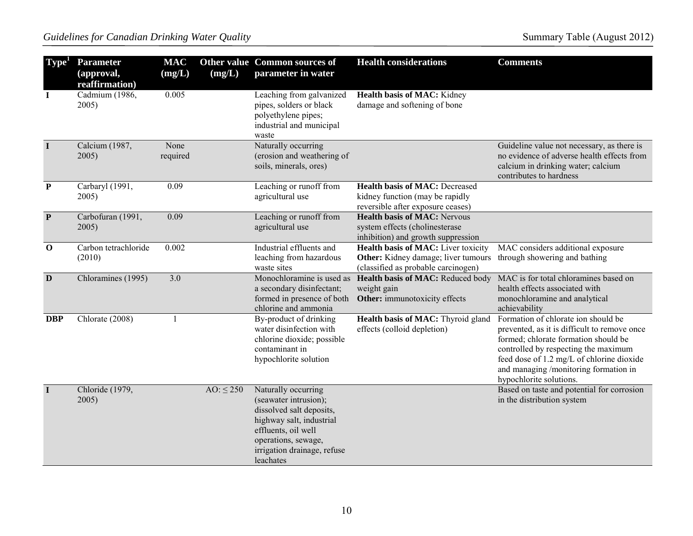| Type <sup>1</sup> | <b>Parameter</b><br>(approval,<br>reaffirmation) | <b>MAC</b><br>(mg/L) | (mg/L)         | Other value Common sources of<br>parameter in water                                                                                                                                            | <b>Health considerations</b>                                                                                             | <b>Comments</b>                                                                                                                                                                                                                                                                      |
|-------------------|--------------------------------------------------|----------------------|----------------|------------------------------------------------------------------------------------------------------------------------------------------------------------------------------------------------|--------------------------------------------------------------------------------------------------------------------------|--------------------------------------------------------------------------------------------------------------------------------------------------------------------------------------------------------------------------------------------------------------------------------------|
| $\mathbf I$       | Cadmium (1986,<br>2005)                          | 0.005                |                | Leaching from galvanized<br>pipes, solders or black<br>polyethylene pipes;<br>industrial and municipal<br>waste                                                                                | Health basis of MAC: Kidney<br>damage and softening of bone                                                              |                                                                                                                                                                                                                                                                                      |
| $\mathbf I$       | Calcium (1987,<br>2005)                          | None<br>required     |                | Naturally occurring<br>(erosion and weathering of<br>soils, minerals, ores)                                                                                                                    |                                                                                                                          | Guideline value not necessary, as there is<br>no evidence of adverse health effects from<br>calcium in drinking water; calcium<br>contributes to hardness                                                                                                                            |
| ${\bf P}$         | Carbaryl (1991,<br>2005)                         | 0.09                 |                | Leaching or runoff from<br>agricultural use                                                                                                                                                    | <b>Health basis of MAC: Decreased</b><br>kidney function (may be rapidly<br>reversible after exposure ceases)            |                                                                                                                                                                                                                                                                                      |
| $\mathbf{P}$      | Carbofuran (1991,<br>2005)                       | 0.09                 |                | Leaching or runoff from<br>agricultural use                                                                                                                                                    | <b>Health basis of MAC: Nervous</b><br>system effects (cholinesterase<br>inhibition) and growth suppression              |                                                                                                                                                                                                                                                                                      |
| $\mathbf 0$       | Carbon tetrachloride<br>(2010)                   | 0.002                |                | Industrial effluents and<br>leaching from hazardous<br>waste sites                                                                                                                             | <b>Health basis of MAC:</b> Liver toxicity<br>Other: Kidney damage; liver tumours<br>(classified as probable carcinogen) | MAC considers additional exposure<br>through showering and bathing                                                                                                                                                                                                                   |
| D                 | Chloramines (1995)                               | 3.0                  |                | Monochloramine is used as<br>a secondary disinfectant;<br>formed in presence of both<br>chlorine and ammonia                                                                                   | Health basis of MAC: Reduced body<br>weight gain<br>Other: immunotoxicity effects                                        | MAC is for total chloramines based on<br>health effects associated with<br>monochloramine and analytical<br>achievability                                                                                                                                                            |
| <b>DBP</b>        | Chlorate (2008)                                  | 1                    |                | By-product of drinking<br>water disinfection with<br>chlorine dioxide; possible<br>contaminant in<br>hypochlorite solution                                                                     | Health basis of MAC: Thyroid gland<br>effects (colloid depletion)                                                        | Formation of chlorate ion should be<br>prevented, as it is difficult to remove once<br>formed; chlorate formation should be<br>controlled by respecting the maximum<br>feed dose of 1.2 mg/L of chlorine dioxide<br>and managing /monitoring formation in<br>hypochlorite solutions. |
| $\mathbf I$       | Chloride (1979,<br>2005)                         |                      | AO: $\leq$ 250 | Naturally occurring<br>(seawater intrusion);<br>dissolved salt deposits,<br>highway salt, industrial<br>effluents, oil well<br>operations, sewage,<br>irrigation drainage, refuse<br>leachates |                                                                                                                          | Based on taste and potential for corrosion<br>in the distribution system                                                                                                                                                                                                             |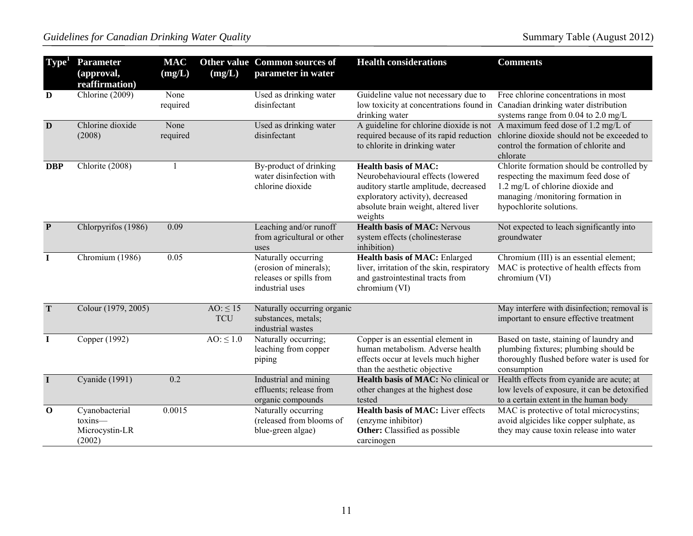| Type <sup>1</sup> | <b>Parameter</b><br>(approval,<br>reaffirmation)      | <b>MAC</b><br>(mg/L) | (mg/L)                      | Other value Common sources of<br>parameter in water                                         | <b>Health considerations</b>                                                                                                                                                                     | <b>Comments</b>                                                                                                                                                                       |
|-------------------|-------------------------------------------------------|----------------------|-----------------------------|---------------------------------------------------------------------------------------------|--------------------------------------------------------------------------------------------------------------------------------------------------------------------------------------------------|---------------------------------------------------------------------------------------------------------------------------------------------------------------------------------------|
| $\mathbf D$       | Chlorine (2009)                                       | None<br>required     |                             | Used as drinking water<br>disinfectant                                                      | Guideline value not necessary due to<br>low toxicity at concentrations found in Canadian drinking water distribution<br>drinking water                                                           | Free chlorine concentrations in most<br>systems range from $0.04$ to $2.0$ mg/L                                                                                                       |
| D                 | Chlorine dioxide<br>(2008)                            | None<br>required     |                             | Used as drinking water<br>disinfectant                                                      | A guideline for chlorine dioxide is not A maximum feed dose of 1.2 mg/L of<br>required because of its rapid reduction<br>to chlorite in drinking water                                           | chlorine dioxide should not be exceeded to<br>control the formation of chlorite and<br>chlorate                                                                                       |
| <b>DBP</b>        | Chlorite (2008)                                       |                      |                             | By-product of drinking<br>water disinfection with<br>chlorine dioxide                       | <b>Health basis of MAC:</b><br>Neurobehavioural effects (lowered<br>auditory startle amplitude, decreased<br>exploratory activity), decreased<br>absolute brain weight, altered liver<br>weights | Chlorite formation should be controlled by<br>respecting the maximum feed dose of<br>1.2 mg/L of chlorine dioxide and<br>managing /monitoring formation in<br>hypochlorite solutions. |
| $\mathbf{P}$      | Chlorpyrifos (1986)                                   | 0.09                 |                             | Leaching and/or runoff<br>from agricultural or other<br>uses                                | <b>Health basis of MAC: Nervous</b><br>system effects (cholinesterase<br>inhibition)                                                                                                             | Not expected to leach significantly into<br>groundwater                                                                                                                               |
| $\bf{I}$          | Chromium (1986)                                       | 0.05                 |                             | Naturally occurring<br>(erosion of minerals);<br>releases or spills from<br>industrial uses | Health basis of MAC: Enlarged<br>liver, irritation of the skin, respiratory<br>and gastrointestinal tracts from<br>chromium (VI)                                                                 | Chromium (III) is an essential element;<br>MAC is protective of health effects from<br>chromium (VI)                                                                                  |
| T                 | Colour (1979, 2005)                                   |                      | $AO: \leq 15$<br><b>TCU</b> | Naturally occurring organic<br>substances, metals;<br>industrial wastes                     |                                                                                                                                                                                                  | May interfere with disinfection; removal is<br>important to ensure effective treatment                                                                                                |
| $\mathbf I$       | Copper (1992)                                         |                      | $AO: \leq 1.0$              | Naturally occurring;<br>leaching from copper<br>piping                                      | Copper is an essential element in<br>human metabolism. Adverse health<br>effects occur at levels much higher<br>than the aesthetic objective                                                     | Based on taste, staining of laundry and<br>plumbing fixtures; plumbing should be<br>thoroughly flushed before water is used for<br>consumption                                        |
| $\mathbf I$       | Cyanide (1991)                                        | 0.2                  |                             | Industrial and mining<br>effluents; release from<br>organic compounds                       | Health basis of MAC: No clinical or<br>other changes at the highest dose<br>tested                                                                                                               | Health effects from cyanide are acute; at<br>low levels of exposure, it can be detoxified<br>to a certain extent in the human body                                                    |
| $\mathbf 0$       | Cyanobacterial<br>toxins-<br>Microcystin-LR<br>(2002) | 0.0015               |                             | Naturally occurring<br>(released from blooms of<br>blue-green algae)                        | Health basis of MAC: Liver effects<br>(enzyme inhibitor)<br><b>Other:</b> Classified as possible<br>carcinogen                                                                                   | MAC is protective of total microcystins;<br>avoid algicides like copper sulphate, as<br>they may cause toxin release into water                                                       |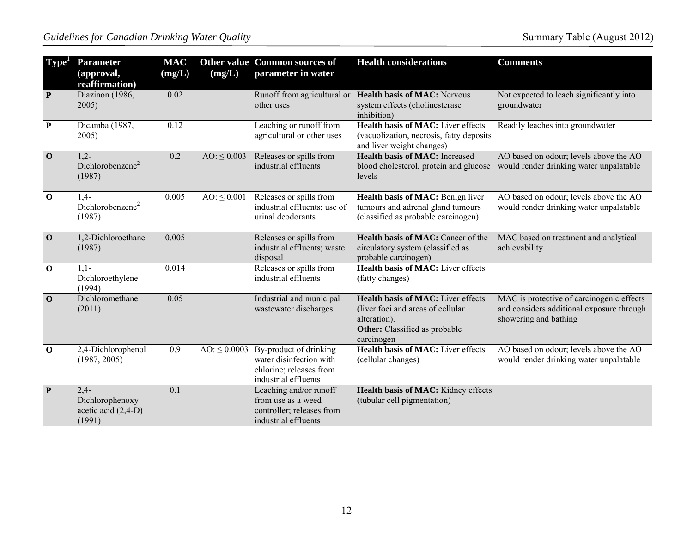| Type <sup>1</sup> | <b>Parameter</b><br>(approval,<br>reaffirmation)           | <b>MAC</b><br>(mg/L) | (mg/L)            | <b>Other value Common sources of</b><br>parameter in water                                           | <b>Health considerations</b>                                                                                                                  | <b>Comments</b>                                                                                                 |
|-------------------|------------------------------------------------------------|----------------------|-------------------|------------------------------------------------------------------------------------------------------|-----------------------------------------------------------------------------------------------------------------------------------------------|-----------------------------------------------------------------------------------------------------------------|
| $\mathbf{P}$      | Diazinon (1986,<br>2005)                                   | 0.02                 |                   | Runoff from agricultural or<br>other uses                                                            | <b>Health basis of MAC: Nervous</b><br>system effects (cholinesterase<br>inhibition)                                                          | Not expected to leach significantly into<br>groundwater                                                         |
| $\mathbf{P}$      | Dicamba (1987,<br>2005)                                    | 0.12                 |                   | Leaching or runoff from<br>agricultural or other uses                                                | <b>Health basis of MAC:</b> Liver effects<br>(vacuolization, necrosis, fatty deposits<br>and liver weight changes)                            | Readily leaches into groundwater                                                                                |
| $\mathbf 0$       | $1,2-$<br>Dichlorobenzene <sup>2</sup><br>(1987)           | 0.2                  | $AO: \leq 0.003$  | Releases or spills from<br>industrial effluents                                                      | <b>Health basis of MAC:</b> Increased<br>blood cholesterol, protein and glucose<br>levels                                                     | AO based on odour; levels above the AO<br>would render drinking water unpalatable                               |
| $\mathbf 0$       | $1,4-$<br>Dichlorobenzene <sup>2</sup><br>(1987)           | 0.005                | $AO: \leq 0.001$  | Releases or spills from<br>industrial effluents; use of<br>urinal deodorants                         | Health basis of MAC: Benign liver<br>tumours and adrenal gland tumours<br>(classified as probable carcinogen)                                 | AO based on odour; levels above the AO<br>would render drinking water unpalatable                               |
| $\mathbf{O}$      | 1,2-Dichloroethane<br>(1987)                               | 0.005                |                   | Releases or spills from<br>industrial effluents; waste<br>disposal                                   | <b>Health basis of MAC:</b> Cancer of the<br>circulatory system (classified as<br>probable carcinogen)                                        | MAC based on treatment and analytical<br>achievability                                                          |
| $\mathbf 0$       | $1,1-$<br>Dichloroethylene<br>(1994)                       | 0.014                |                   | Releases or spills from<br>industrial effluents                                                      | <b>Health basis of MAC:</b> Liver effects<br>(fatty changes)                                                                                  |                                                                                                                 |
| $\mathbf 0$       | Dichloromethane<br>(2011)                                  | 0.05                 |                   | Industrial and municipal<br>wastewater discharges                                                    | <b>Health basis of MAC:</b> Liver effects<br>(liver foci and areas of cellular<br>alteration).<br>Other: Classified as probable<br>carcinogen | MAC is protective of carcinogenic effects<br>and considers additional exposure through<br>showering and bathing |
| $\mathbf 0$       | 2,4-Dichlorophenol<br>(1987, 2005)                         | 0.9                  | $AO: \leq 0.0003$ | By-product of drinking<br>water disinfection with<br>chlorine; releases from<br>industrial effluents | Health basis of MAC: Liver effects<br>(cellular changes)                                                                                      | AO based on odour; levels above the AO<br>would render drinking water unpalatable                               |
| $\mathbf{P}$      | $2,4-$<br>Dichlorophenoxy<br>acetic acid (2,4-D)<br>(1991) | 0.1                  |                   | Leaching and/or runoff<br>from use as a weed<br>controller; releases from<br>industrial effluents    | Health basis of MAC: Kidney effects<br>(tubular cell pigmentation)                                                                            |                                                                                                                 |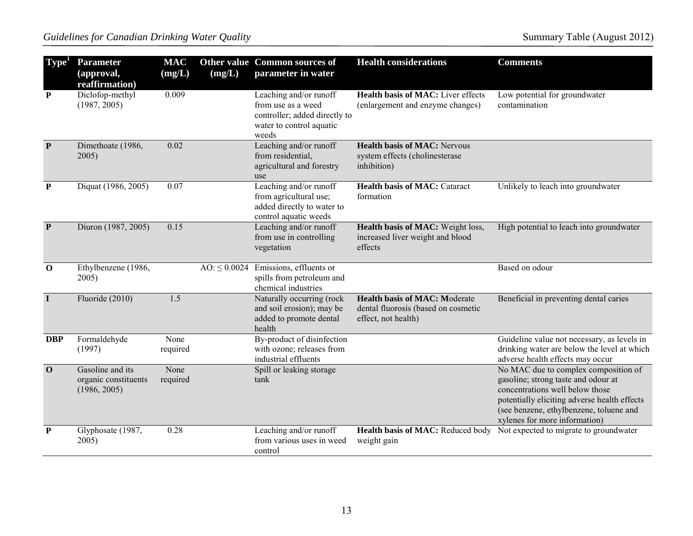| Type <sup>1</sup>       | <b>Parameter</b><br>(approval,<br>reaffirmation)         | <b>MAC</b><br>(mg/L) | (mg/L)            | Other value Common sources of<br>parameter in water                                                                | <b>Health considerations</b>                                                                       | <b>Comments</b>                                                                                                                                                                                                                            |
|-------------------------|----------------------------------------------------------|----------------------|-------------------|--------------------------------------------------------------------------------------------------------------------|----------------------------------------------------------------------------------------------------|--------------------------------------------------------------------------------------------------------------------------------------------------------------------------------------------------------------------------------------------|
| $\mathbf{P}$            | Diclofop-methyl<br>(1987, 2005)                          | 0.009                |                   | Leaching and/or runoff<br>from use as a weed<br>controller; added directly to<br>water to control aquatic<br>weeds | Health basis of MAC: Liver effects<br>(enlargement and enzyme changes)                             | Low potential for groundwater<br>contamination                                                                                                                                                                                             |
| $\overline{\mathbf{P}}$ | Dimethoate (1986,<br>2005)                               | 0.02                 |                   | Leaching and/or runoff<br>from residential,<br>agricultural and forestry<br>use                                    | <b>Health basis of MAC: Nervous</b><br>system effects (cholinesterase<br>inhibition)               |                                                                                                                                                                                                                                            |
| ${\bf P}$               | Diquat (1986, 2005)                                      | 0.07                 |                   | Leaching and/or runoff<br>from agricultural use;<br>added directly to water to<br>control aquatic weeds            | <b>Health basis of MAC: Cataract</b><br>formation                                                  | Unlikely to leach into groundwater                                                                                                                                                                                                         |
| $\mathbf{P}$            | Diuron (1987, 2005)                                      | 0.15                 |                   | Leaching and/or runoff<br>from use in controlling<br>vegetation                                                    | Health basis of MAC: Weight loss,<br>increased liver weight and blood<br>effects                   | High potential to leach into groundwater                                                                                                                                                                                                   |
| $\mathbf 0$             | Ethylbenzene (1986,<br>2005)                             |                      | $AO: \leq 0.0024$ | Emissions, effluents or<br>spills from petroleum and<br>chemical industries                                        |                                                                                                    | Based on odour                                                                                                                                                                                                                             |
| $\mathbf I$             | Fluoride (2010)                                          | 1.5                  |                   | Naturally occurring (rock<br>and soil erosion); may be<br>added to promote dental<br>health                        | <b>Health basis of MAC: Moderate</b><br>dental fluorosis (based on cosmetic<br>effect, not health) | Beneficial in preventing dental caries                                                                                                                                                                                                     |
| <b>DBP</b>              | Formaldehyde<br>(1997)                                   | None<br>required     |                   | By-product of disinfection<br>with ozone; releases from<br>industrial effluents                                    |                                                                                                    | Guideline value not necessary, as levels in<br>drinking water are below the level at which<br>adverse health effects may occur                                                                                                             |
| $\overline{\mathbf{0}}$ | Gasoline and its<br>organic constituents<br>(1986, 2005) | None<br>required     |                   | Spill or leaking storage<br>tank                                                                                   |                                                                                                    | No MAC due to complex composition of<br>gasoline; strong taste and odour at<br>concentrations well below those<br>potentially eliciting adverse health effects<br>(see benzene, ethylbenzene, toluene and<br>xylenes for more information) |
| $\mathbf P$             | Glyphosate (1987,<br>2005)                               | 0.28                 |                   | Leaching and/or runoff<br>from various uses in weed<br>control                                                     | Health basis of MAC: Reduced body<br>weight gain                                                   | Not expected to migrate to groundwater                                                                                                                                                                                                     |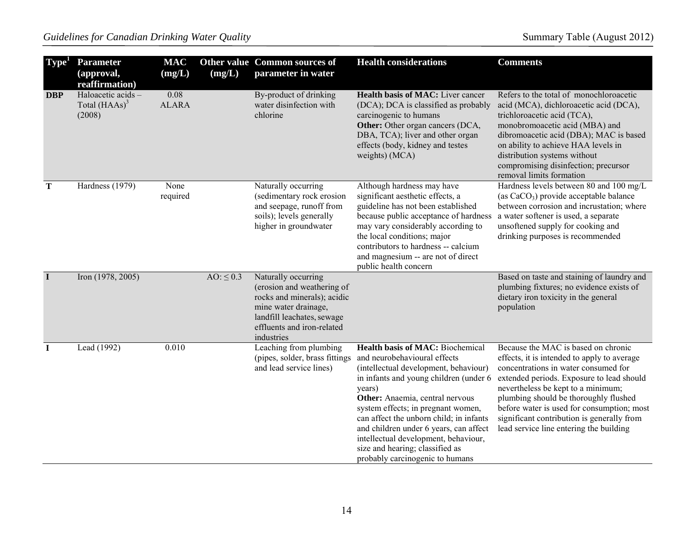| Type <sup>1</sup> | <b>Parameter</b><br>(approval,<br>reaffirmation) | <b>MAC</b><br>(mg/L) | (mg/L)         | Other value Common sources of<br>parameter in water                                                                                                                                | <b>Health considerations</b>                                                                                                                                                                                                                                                                                                                                                                                                                     | <b>Comments</b>                                                                                                                                                                                                                                                                                                                                                                               |
|-------------------|--------------------------------------------------|----------------------|----------------|------------------------------------------------------------------------------------------------------------------------------------------------------------------------------------|--------------------------------------------------------------------------------------------------------------------------------------------------------------------------------------------------------------------------------------------------------------------------------------------------------------------------------------------------------------------------------------------------------------------------------------------------|-----------------------------------------------------------------------------------------------------------------------------------------------------------------------------------------------------------------------------------------------------------------------------------------------------------------------------------------------------------------------------------------------|
| <b>DBP</b>        | Haloacetic acids -<br>Total $(HAAs)^3$<br>(2008) | 0.08<br><b>ALARA</b> |                | By-product of drinking<br>water disinfection with<br>chlorine                                                                                                                      | <b>Health basis of MAC:</b> Liver cancer<br>(DCA); DCA is classified as probably<br>carcinogenic to humans<br>Other: Other organ cancers (DCA,<br>DBA, TCA); liver and other organ<br>effects (body, kidney and testes<br>weights) (MCA)                                                                                                                                                                                                         | Refers to the total of monochloroacetic<br>acid (MCA), dichloroacetic acid (DCA),<br>trichloroacetic acid (TCA),<br>monobromoacetic acid (MBA) and<br>dibromoacetic acid (DBA); MAC is based<br>on ability to achieve HAA levels in<br>distribution systems without<br>compromising disinfection; precursor<br>removal limits formation                                                       |
| T                 | Hardness (1979)                                  | None<br>required     |                | Naturally occurring<br>(sedimentary rock erosion<br>and seepage, runoff from<br>soils); levels generally<br>higher in groundwater                                                  | Although hardness may have<br>significant aesthetic effects, a<br>guideline has not been established<br>because public acceptance of hardness<br>may vary considerably according to<br>the local conditions; major<br>contributors to hardness -- calcium<br>and magnesium -- are not of direct<br>public health concern                                                                                                                         | Hardness levels between 80 and 100 mg/L<br>(as $CaCO3$ ) provide acceptable balance<br>between corrosion and incrustation; where<br>a water softener is used, a separate<br>unsoftened supply for cooking and<br>drinking purposes is recommended                                                                                                                                             |
| $\mathbf I$       | Iron (1978, 2005)                                |                      | $AO: \leq 0.3$ | Naturally occurring<br>(erosion and weathering of<br>rocks and minerals); acidic<br>mine water drainage,<br>landfill leachates, sewage<br>effluents and iron-related<br>industries |                                                                                                                                                                                                                                                                                                                                                                                                                                                  | Based on taste and staining of laundry and<br>plumbing fixtures; no evidence exists of<br>dietary iron toxicity in the general<br>population                                                                                                                                                                                                                                                  |
| $\bf{I}$          | Lead (1992)                                      | 0.010                |                | Leaching from plumbing<br>(pipes, solder, brass fittings)<br>and lead service lines)                                                                                               | <b>Health basis of MAC: Biochemical</b><br>and neurobehavioural effects<br>(intellectual development, behaviour)<br>in infants and young children (under 6<br>years)<br>Other: Anaemia, central nervous<br>system effects; in pregnant women,<br>can affect the unborn child; in infants<br>and children under 6 years, can affect<br>intellectual development, behaviour,<br>size and hearing; classified as<br>probably carcinogenic to humans | Because the MAC is based on chronic<br>effects, it is intended to apply to average<br>concentrations in water consumed for<br>extended periods. Exposure to lead should<br>nevertheless be kept to a minimum;<br>plumbing should be thoroughly flushed<br>before water is used for consumption; most<br>significant contribution is generally from<br>lead service line entering the building |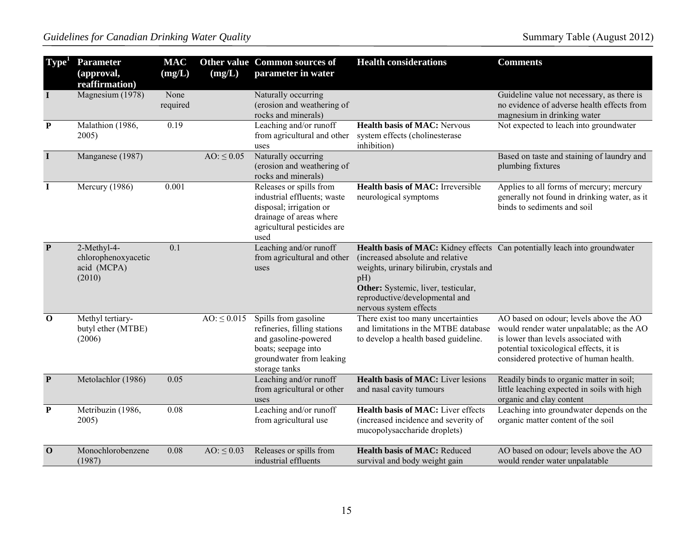| ${\rm \; Type}^1$       | <b>Parameter</b><br>(approval,<br>reaffirmation)            | <b>MAC</b><br>(mg/L) | (mg/L)           | Other value Common sources of<br>parameter in water                                                                                                 | <b>Health considerations</b>                                                                                                                                                           | <b>Comments</b>                                                                                                                                                                                                 |
|-------------------------|-------------------------------------------------------------|----------------------|------------------|-----------------------------------------------------------------------------------------------------------------------------------------------------|----------------------------------------------------------------------------------------------------------------------------------------------------------------------------------------|-----------------------------------------------------------------------------------------------------------------------------------------------------------------------------------------------------------------|
| $\mathbf I$             | Magnesium (1978)                                            | None<br>required     |                  | Naturally occurring<br>(erosion and weathering of<br>rocks and minerals)                                                                            |                                                                                                                                                                                        | Guideline value not necessary, as there is<br>no evidence of adverse health effects from<br>magnesium in drinking water                                                                                         |
| ${\bf P}$               | Malathion (1986,<br>2005)                                   | 0.19                 |                  | Leaching and/or runoff<br>from agricultural and other<br>uses                                                                                       | <b>Health basis of MAC: Nervous</b><br>system effects (cholinesterase<br>inhibition)                                                                                                   | Not expected to leach into groundwater                                                                                                                                                                          |
| $\mathbf I$             | Manganese (1987)                                            |                      | $AO: \leq 0.05$  | Naturally occurring<br>(erosion and weathering of<br>rocks and minerals)                                                                            |                                                                                                                                                                                        | Based on taste and staining of laundry and<br>plumbing fixtures                                                                                                                                                 |
| $\mathbf I$             | Mercury (1986)                                              | 0.001                |                  | Releases or spills from<br>industrial effluents; waste<br>disposal; irrigation or<br>drainage of areas where<br>agricultural pesticides are<br>used | <b>Health basis of MAC:</b> Irreversible<br>neurological symptoms                                                                                                                      | Applies to all forms of mercury; mercury<br>generally not found in drinking water, as it<br>binds to sediments and soil                                                                                         |
| $\overline{\mathbf{P}}$ | 2-Methyl-4-<br>chlorophenoxyacetic<br>acid (MCPA)<br>(2010) | 0.1                  |                  | Leaching and/or runoff<br>from agricultural and other<br>uses                                                                                       | (increased absolute and relative<br>weights, urinary bilirubin, crystals and<br>pH)<br>Other: Systemic, liver, testicular,<br>reproductive/developmental and<br>nervous system effects | Health basis of MAC: Kidney effects Can potentially leach into groundwater                                                                                                                                      |
| $\mathbf 0$             | Methyl tertiary-<br>butyl ether (MTBE)<br>(2006)            |                      | $AO: \leq 0.015$ | Spills from gasoline<br>refineries, filling stations<br>and gasoline-powered<br>boats; seepage into<br>groundwater from leaking<br>storage tanks    | There exist too many uncertainties<br>and limitations in the MTBE database<br>to develop a health based guideline.                                                                     | AO based on odour; levels above the AO<br>would render water unpalatable; as the AO<br>is lower than levels associated with<br>potential toxicological effects, it is<br>considered protective of human health. |
| $\mathbf{P}$            | Metolachlor (1986)                                          | 0.05                 |                  | Leaching and/or runoff<br>from agricultural or other<br>uses                                                                                        | <b>Health basis of MAC:</b> Liver lesions<br>and nasal cavity tumours                                                                                                                  | Readily binds to organic matter in soil;<br>little leaching expected in soils with high<br>organic and clay content                                                                                             |
| ${\bf P}$               | Metribuzin (1986,<br>2005)                                  | 0.08                 |                  | Leaching and/or runoff<br>from agricultural use                                                                                                     | Health basis of MAC: Liver effects<br>(increased incidence and severity of<br>mucopolysaccharide droplets)                                                                             | Leaching into groundwater depends on the<br>organic matter content of the soil                                                                                                                                  |
| $\mathbf 0$             | Monochlorobenzene<br>(1987)                                 | 0.08                 | AO: $\leq 0.03$  | Releases or spills from<br>industrial effluents                                                                                                     | Health basis of MAC: Reduced<br>survival and body weight gain                                                                                                                          | AO based on odour; levels above the AO<br>would render water unpalatable                                                                                                                                        |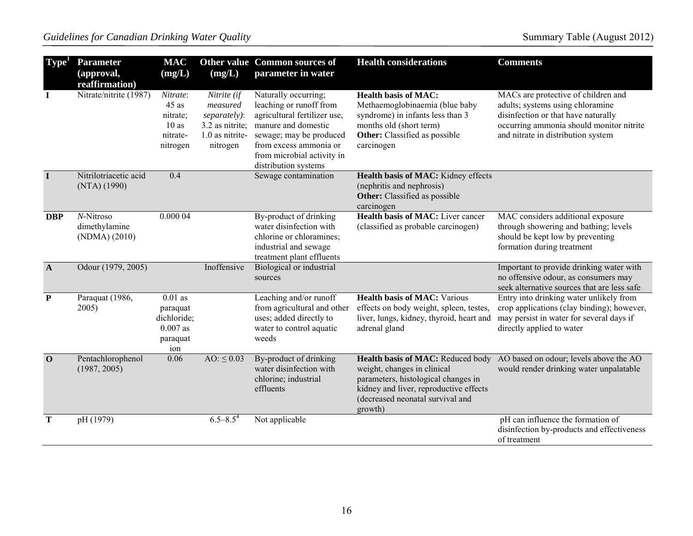| Type <sup>1</sup> | <b>Parameter</b><br>(approval,<br>reaffirmation) | <b>MAC</b><br>(mg/L)                                                  | (mg/L)                                                                                    | Other value Common sources of<br>parameter in water                                                                                                                                                               | <b>Health considerations</b>                                                                                                                                                                     | <b>Comments</b>                                                                                                                                                                                  |
|-------------------|--------------------------------------------------|-----------------------------------------------------------------------|-------------------------------------------------------------------------------------------|-------------------------------------------------------------------------------------------------------------------------------------------------------------------------------------------------------------------|--------------------------------------------------------------------------------------------------------------------------------------------------------------------------------------------------|--------------------------------------------------------------------------------------------------------------------------------------------------------------------------------------------------|
| $\bf{I}$          | Nitrate/nitrite (1987)                           | Nitrate:<br>$45$ as<br>nitrate;<br>10as<br>nitrate-<br>nitrogen       | Nitrite (if<br>measured<br>separately):<br>3.2 as nitrite;<br>1.0 as nitrite-<br>nitrogen | Naturally occurring;<br>leaching or runoff from<br>agricultural fertilizer use,<br>manure and domestic<br>sewage; may be produced<br>from excess ammonia or<br>from microbial activity in<br>distribution systems | <b>Health basis of MAC:</b><br>Methaemoglobinaemia (blue baby<br>syndrome) in infants less than 3<br>months old (short term)<br>Other: Classified as possible<br>carcinogen                      | MACs are protective of children and<br>adults; systems using chloramine<br>disinfection or that have naturally<br>occurring ammonia should monitor nitrite<br>and nitrate in distribution system |
| $\bf{I}$          | Nitrilotriacetic acid<br>(NTA) (1990)            | 0.4                                                                   |                                                                                           | Sewage contamination                                                                                                                                                                                              | Health basis of MAC: Kidney effects<br>(nephritis and nephrosis)<br>Other: Classified as possible<br>carcinogen                                                                                  |                                                                                                                                                                                                  |
| <b>DBP</b>        | N-Nitroso<br>dimethylamine<br>(NDMA) (2010)      | 0.000 04                                                              |                                                                                           | By-product of drinking<br>water disinfection with<br>chlorine or chloramines;<br>industrial and sewage<br>treatment plant effluents                                                                               | Health basis of MAC: Liver cancer<br>(classified as probable carcinogen)                                                                                                                         | MAC considers additional exposure<br>through showering and bathing; levels<br>should be kept low by preventing<br>formation during treatment                                                     |
| $\mathbf{A}$      | Odour (1979, 2005)                               |                                                                       | Inoffensive                                                                               | Biological or industrial<br>sources                                                                                                                                                                               |                                                                                                                                                                                                  | Important to provide drinking water with<br>no offensive odour, as consumers may<br>seek alternative sources that are less safe                                                                  |
| $\mathbf{P}$      | Paraquat (1986,<br>2005)                         | $0.01$ as<br>paraquat<br>dichloride;<br>$0.007$ as<br>paraquat<br>ion |                                                                                           | Leaching and/or runoff<br>from agricultural and other<br>uses; added directly to<br>water to control aquatic<br>weeds                                                                                             | <b>Health basis of MAC: Various</b><br>effects on body weight, spleen, testes,<br>liver, lungs, kidney, thyroid, heart and<br>adrenal gland                                                      | Entry into drinking water unlikely from<br>crop applications (clay binding); however,<br>may persist in water for several days if<br>directly applied to water                                   |
| $\mathbf{0}$      | Pentachlorophenol<br>(1987, 2005)                | 0.06                                                                  | AO: $\leq 0.03$                                                                           | By-product of drinking<br>water disinfection with<br>chlorine; industrial<br>effluents                                                                                                                            | Health basis of MAC: Reduced body<br>weight, changes in clinical<br>parameters, histological changes in<br>kidney and liver, reproductive effects<br>(decreased neonatal survival and<br>growth) | AO based on odour; levels above the AO<br>would render drinking water unpalatable                                                                                                                |
| T                 | pH (1979)                                        |                                                                       | $6.5 - 8.5^4$                                                                             | Not applicable                                                                                                                                                                                                    |                                                                                                                                                                                                  | pH can influence the formation of<br>disinfection by-products and effectiveness<br>of treatment                                                                                                  |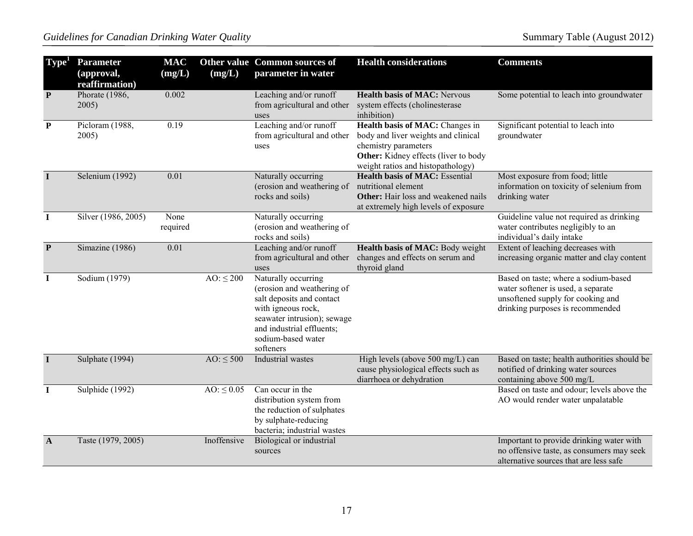| Type <sup>1</sup> | <b>Parameter</b><br>(approval,<br>reaffirmation) | <b>MAC</b><br>(mg/L) | (mg/L)          | Other value Common sources of<br>parameter in water                                                                                                                                                 | <b>Health considerations</b>                                                                                                                                                | <b>Comments</b>                                                                                                                                     |
|-------------------|--------------------------------------------------|----------------------|-----------------|-----------------------------------------------------------------------------------------------------------------------------------------------------------------------------------------------------|-----------------------------------------------------------------------------------------------------------------------------------------------------------------------------|-----------------------------------------------------------------------------------------------------------------------------------------------------|
| $\mathbf{P}$      | Phorate (1986,<br>2005)                          | 0.002                |                 | Leaching and/or runoff<br>from agricultural and other<br>uses                                                                                                                                       | <b>Health basis of MAC: Nervous</b><br>system effects (cholinesterase<br>inhibition)                                                                                        | Some potential to leach into groundwater                                                                                                            |
| ${\bf P}$         | Picloram (1988,<br>2005)                         | 0.19                 |                 | Leaching and/or runoff<br>from agricultural and other<br>uses                                                                                                                                       | Health basis of MAC: Changes in<br>body and liver weights and clinical<br>chemistry parameters<br>Other: Kidney effects (liver to body<br>weight ratios and histopathology) | Significant potential to leach into<br>groundwater                                                                                                  |
| $\mathbf I$       | Selenium (1992)                                  | 0.01                 |                 | Naturally occurring<br>(erosion and weathering of<br>rocks and soils)                                                                                                                               | <b>Health basis of MAC:</b> Essential<br>nutritional element<br><b>Other:</b> Hair loss and weakened nails<br>at extremely high levels of exposure                          | Most exposure from food; little<br>information on toxicity of selenium from<br>drinking water                                                       |
| $\bf{I}$          | Silver (1986, 2005)                              | None<br>required     |                 | Naturally occurring<br>(erosion and weathering of<br>rocks and soils)                                                                                                                               |                                                                                                                                                                             | Guideline value not required as drinking<br>water contributes negligibly to an<br>individual's daily intake                                         |
| $\mathbf{P}$      | Simazine (1986)                                  | 0.01                 |                 | Leaching and/or runoff<br>from agricultural and other<br>uses                                                                                                                                       | Health basis of MAC: Body weight<br>changes and effects on serum and<br>thyroid gland                                                                                       | Extent of leaching decreases with<br>increasing organic matter and clay content                                                                     |
| $\mathbf I$       | Sodium (1979)                                    |                      | $AO: \leq 200$  | Naturally occurring<br>(erosion and weathering of<br>salt deposits and contact<br>with igneous rock,<br>seawater intrusion); sewage<br>and industrial effluents;<br>sodium-based water<br>softeners |                                                                                                                                                                             | Based on taste; where a sodium-based<br>water softener is used, a separate<br>unsoftened supply for cooking and<br>drinking purposes is recommended |
| $\mathbf I$       | Sulphate (1994)                                  |                      | $AO: \leq 500$  | <b>Industrial</b> wastes                                                                                                                                                                            | High levels (above 500 mg/L) can<br>cause physiological effects such as<br>diarrhoea or dehydration                                                                         | Based on taste; health authorities should be<br>notified of drinking water sources<br>containing above 500 mg/L                                     |
| $\mathbf I$       | Sulphide (1992)                                  |                      | $AO: \leq 0.05$ | Can occur in the<br>distribution system from<br>the reduction of sulphates<br>by sulphate-reducing<br>bacteria; industrial wastes                                                                   |                                                                                                                                                                             | Based on taste and odour; levels above the<br>AO would render water unpalatable                                                                     |
| $\mathbf{A}$      | Taste (1979, 2005)                               |                      | Inoffensive     | Biological or industrial<br>sources                                                                                                                                                                 |                                                                                                                                                                             | Important to provide drinking water with<br>no offensive taste, as consumers may seek<br>alternative sources that are less safe                     |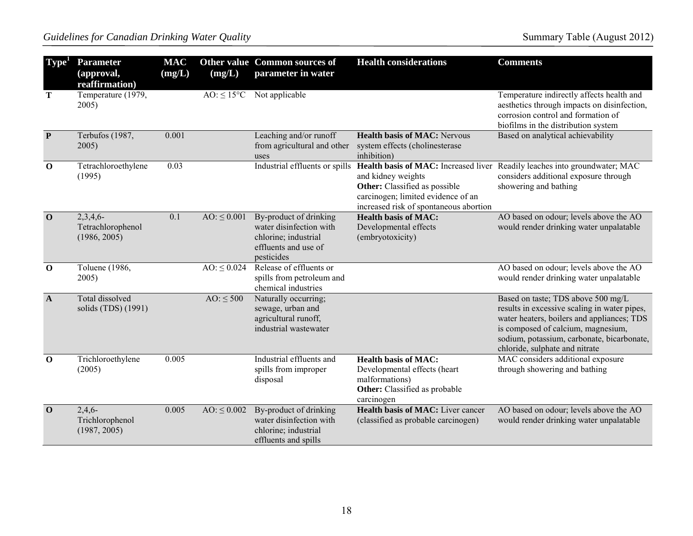| Type <sup>1</sup> | <b>Parameter</b><br>(approval,<br>reaffirmation) | <b>MAC</b><br>(mg/L) | (mg/L)                 | Other value Common sources of<br>parameter in water                                                             | <b>Health considerations</b>                                                                                                               | <b>Comments</b>                                                                                                                                                                                                                                        |
|-------------------|--------------------------------------------------|----------------------|------------------------|-----------------------------------------------------------------------------------------------------------------|--------------------------------------------------------------------------------------------------------------------------------------------|--------------------------------------------------------------------------------------------------------------------------------------------------------------------------------------------------------------------------------------------------------|
| T                 | Temperature (1979,<br>2005)                      |                      | $AO: \leq 15^{\circ}C$ | Not applicable                                                                                                  |                                                                                                                                            | Temperature indirectly affects health and<br>aesthetics through impacts on disinfection,<br>corrosion control and formation of<br>biofilms in the distribution system                                                                                  |
| $\mathbf{P}$      | Terbufos (1987,<br>2005)                         | 0.001                |                        | Leaching and/or runoff<br>from agricultural and other<br>uses                                                   | <b>Health basis of MAC: Nervous</b><br>system effects (cholinesterase<br>inhibition)                                                       | Based on analytical achievability                                                                                                                                                                                                                      |
| $\mathbf 0$       | Tetrachloroethylene<br>(1995)                    | 0.03                 |                        | Industrial effluents or spills                                                                                  | and kidney weights<br><b>Other:</b> Classified as possible<br>carcinogen; limited evidence of an<br>increased risk of spontaneous abortion | Health basis of MAC: Increased liver Readily leaches into groundwater; MAC<br>considers additional exposure through<br>showering and bathing                                                                                                           |
| $\mathbf{0}$      | 2,3,4,6<br>Tetrachlorophenol<br>(1986, 2005)     | 0.1                  | $AO: \leq 0.001$       | By-product of drinking<br>water disinfection with<br>chlorine; industrial<br>effluents and use of<br>pesticides | <b>Health basis of MAC:</b><br>Developmental effects<br>(embryotoxicity)                                                                   | AO based on odour; levels above the AO<br>would render drinking water unpalatable                                                                                                                                                                      |
| $\mathbf 0$       | Toluene (1986,<br>2005)                          |                      | $AO: \leq 0.024$       | Release of effluents or<br>spills from petroleum and<br>chemical industries                                     |                                                                                                                                            | AO based on odour; levels above the AO<br>would render drinking water unpalatable                                                                                                                                                                      |
| $\mathbf{A}$      | Total dissolved<br>solids (TDS) (1991)           |                      | $AO: \leq 500$         | Naturally occurring;<br>sewage, urban and<br>agricultural runoff,<br>industrial wastewater                      |                                                                                                                                            | Based on taste; TDS above 500 mg/L<br>results in excessive scaling in water pipes,<br>water heaters, boilers and appliances; TDS<br>is composed of calcium, magnesium,<br>sodium, potassium, carbonate, bicarbonate,<br>chloride, sulphate and nitrate |
| $\mathbf 0$       | Trichloroethylene<br>(2005)                      | 0.005                |                        | Industrial effluents and<br>spills from improper<br>disposal                                                    | <b>Health basis of MAC:</b><br>Developmental effects (heart<br>malformations)<br>Other: Classified as probable<br>carcinogen               | MAC considers additional exposure<br>through showering and bathing                                                                                                                                                                                     |
| $\mathbf 0$       | 2,4,6<br>Trichlorophenol<br>(1987, 2005)         | 0.005                | $AO: \leq 0.002$       | By-product of drinking<br>water disinfection with<br>chlorine; industrial<br>effluents and spills               | <b>Health basis of MAC:</b> Liver cancer<br>(classified as probable carcinogen)                                                            | AO based on odour; levels above the AO<br>would render drinking water unpalatable                                                                                                                                                                      |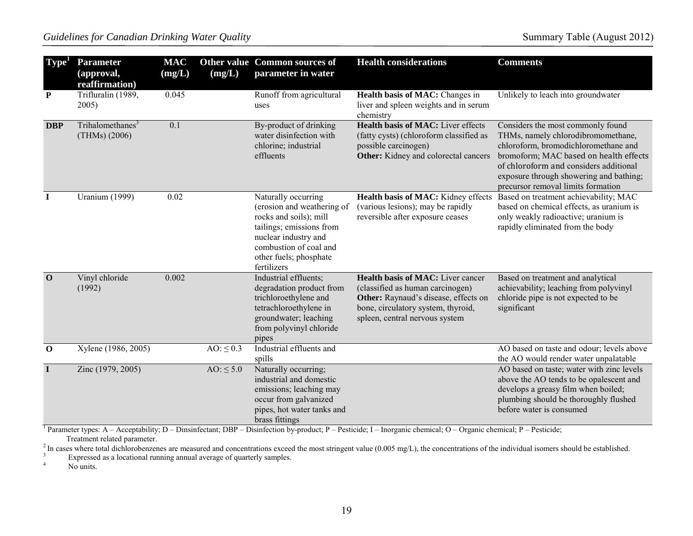| Type <sup>*</sup> | <b>Parameter</b><br>(approval,<br>reaffirmation) | <b>MAC</b><br>(mg/L) | (mg/L)         | <b>Other value Common sources of</b><br>parameter in water                                                                                                                                         | <b>Health considerations</b>                                                                                                                                                                 | <b>Comments</b>                                                                                                                                                                                                                                                                      |
|-------------------|--------------------------------------------------|----------------------|----------------|----------------------------------------------------------------------------------------------------------------------------------------------------------------------------------------------------|----------------------------------------------------------------------------------------------------------------------------------------------------------------------------------------------|--------------------------------------------------------------------------------------------------------------------------------------------------------------------------------------------------------------------------------------------------------------------------------------|
| ${\bf P}$         | Trifluralin (1989,<br>2005)                      | 0.045                |                | Runoff from agricultural<br>uses                                                                                                                                                                   | Health basis of MAC: Changes in<br>liver and spleen weights and in serum<br>chemistry                                                                                                        | Unlikely to leach into groundwater                                                                                                                                                                                                                                                   |
| <b>DBP</b>        | Trihalomethanes <sup>3</sup><br>(THMs) (2006)    | $\overline{0.1}$     |                | By-product of drinking<br>water disinfection with<br>chlorine; industrial<br>effluents                                                                                                             | <b>Health basis of MAC:</b> Liver effects<br>(fatty cysts) (chloroform classified as<br>possible carcinogen)<br><b>Other:</b> Kidney and colorectal cancers                                  | Considers the most commonly found<br>THMs, namely chlorodibromomethane,<br>chloroform, bromodichloromethane and<br>bromoform; MAC based on health effects<br>of chloroform and considers additional<br>exposure through showering and bathing;<br>precursor removal limits formation |
| $\mathbf I$       | <b>Uranium (1999)</b>                            | 0.02                 |                | Naturally occurring<br>(erosion and weathering of<br>rocks and soils); mill<br>tailings; emissions from<br>nuclear industry and<br>combustion of coal and<br>other fuels; phosphate<br>fertilizers | Health basis of MAC: Kidney effects<br>(various lesions); may be rapidly<br>reversible after exposure ceases                                                                                 | Based on treatment achievability; MAC<br>based on chemical effects, as uranium is<br>only weakly radioactive; uranium is<br>rapidly eliminated from the body                                                                                                                         |
| $\mathbf{O}$      | Vinyl chloride<br>(1992)                         | 0.002                |                | Industrial effluents;<br>degradation product from<br>trichloroethylene and<br>tetrachloroethylene in<br>groundwater; leaching<br>from polyvinyl chloride<br>pipes                                  | <b>Health basis of MAC:</b> Liver cancer<br>(classified as human carcinogen)<br>Other: Raynaud's disease, effects on<br>bone, circulatory system, thyroid,<br>spleen, central nervous system | Based on treatment and analytical<br>achievability; leaching from polyvinyl<br>chloride pipe is not expected to be<br>significant                                                                                                                                                    |
| $\mathbf{o}$      | Xylene (1986, 2005)                              |                      | AO: $\leq 0.3$ | Industrial effluents and<br>spills                                                                                                                                                                 |                                                                                                                                                                                              | AO based on taste and odour; levels above<br>the AO would render water unpalatable                                                                                                                                                                                                   |
| $\bf{I}$          | Zinc (1979, 2005)                                |                      | $AO: \leq 5.0$ | Naturally occurring;<br>industrial and domestic<br>emissions; leaching may<br>occur from galvanized<br>pipes, hot water tanks and<br>brass fittings                                                |                                                                                                                                                                                              | AO based on taste; water with zinc levels<br>above the AO tends to be opalescent and<br>develops a greasy film when boiled;<br>plumbing should be thoroughly flushed<br>before water is consumed                                                                                     |

<sup>1</sup> Parameter types: A – Acceptability; D – Dinsinfectant; DBP – Disinfection by-product; P – Pesticide; I – Inorganic chemical; O – Organic chemical; P – Pesticide; Treatment related parameter.

<sup>2</sup> In cases where total dichlorobenzenes are measured and concentrations exceed the most stringent value (0.005 mg/L), the concentrations of the individual isomers should be established.<br><sup>3</sup><br>Expressed as a locational run

Expressed as a locational running annual average of quarterly samples.<br>
No units

No units.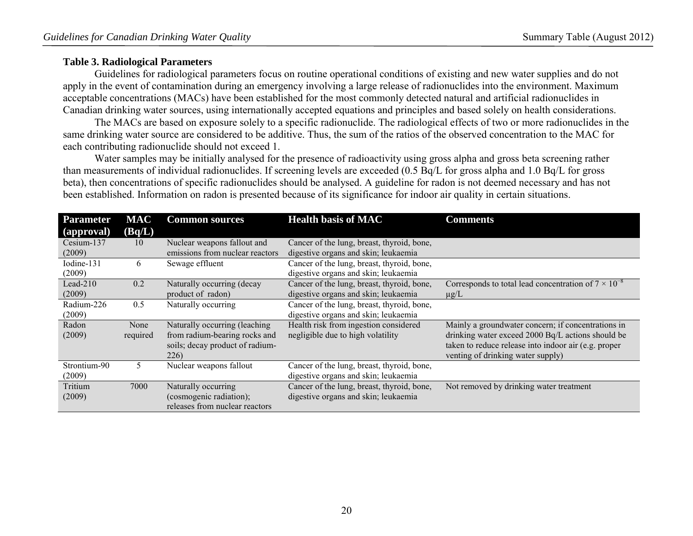### <span id="page-19-0"></span>**Table 3. Radiological Parameters**

 Guidelines for radiological parameters focus on routine operational conditions of existing and new water supplies and do not apply in the event of contamination during an emergency involving a large release of radionuclides into the environment. Maximum acceptable concentrations (MACs) have been established for the most commonly detected natural and artificial radionuclides in Canadian drinking water sources, using internationally accepted equations and principles and based solely on health considerations.

 The MACs are based on exposure solely to a specific radionuclide. The radiological effects of two or more radionuclides in the same drinking water source are considered to be additive. Thus, the sum of the ratios of the observed concentration to the MAC for each contributing radionuclide should not exceed 1.

Water samples may be initially analysed for the presence of radioactivity using gross alpha and gross beta screening rather than measurements of individual radionuclides. If screening levels are exceeded (0.5 Bq/L for gross alpha and 1.0 Bq/L for gross beta), then concentrations of specific radionuclides should be analysed. A guideline for radon is not deemed necessary and has not been established. Information on radon is presented because of its significance for indoor air quality in certain situations.

| <b>Parameter</b> | <b>MAC</b> | <b>Common sources</b>           | <b>Health basis of MAC</b>                 | <b>Comments</b>                                               |
|------------------|------------|---------------------------------|--------------------------------------------|---------------------------------------------------------------|
| (approval)       | (Bq/L)     |                                 |                                            |                                                               |
| Cesium-137       | 10         | Nuclear weapons fallout and     | Cancer of the lung, breast, thyroid, bone, |                                                               |
| (2009)           |            | emissions from nuclear reactors | digestive organs and skin; leukaemia       |                                                               |
| Iodine-131       | 6          | Sewage effluent                 | Cancer of the lung, breast, thyroid, bone, |                                                               |
| (2009)           |            |                                 | digestive organs and skin; leukaemia       |                                                               |
| Lead-210         | 0.2        | Naturally occurring (decay      | Cancer of the lung, breast, thyroid, bone, | Corresponds to total lead concentration of $7 \times 10^{-8}$ |
| (2009)           |            | product of radon)               | digestive organs and skin; leukaemia       | $\mu$ g/L                                                     |
| Radium-226       | 0.5        | Naturally occurring             | Cancer of the lung, breast, thyroid, bone, |                                                               |
| (2009)           |            |                                 | digestive organs and skin; leukaemia       |                                                               |
| Radon            | None       | Naturally occurring (leaching   | Health risk from ingestion considered      | Mainly a groundwater concern; if concentrations in            |
| (2009)           | required   | from radium-bearing rocks and   | negligible due to high volatility          | drinking water exceed 2000 Bq/L actions should be             |
|                  |            | soils; decay product of radium- |                                            | taken to reduce release into indoor air (e.g. proper          |
|                  |            | 226)                            |                                            | venting of drinking water supply)                             |
| Strontium-90     | 5.         | Nuclear weapons fallout         | Cancer of the lung, breast, thyroid, bone, |                                                               |
| (2009)           |            |                                 | digestive organs and skin; leukaemia       |                                                               |
| Tritium          | 7000       | Naturally occurring             | Cancer of the lung, breast, thyroid, bone, | Not removed by drinking water treatment                       |
| (2009)           |            | (cosmogenic radiation);         | digestive organs and skin; leukaemia       |                                                               |
|                  |            | releases from nuclear reactors  |                                            |                                                               |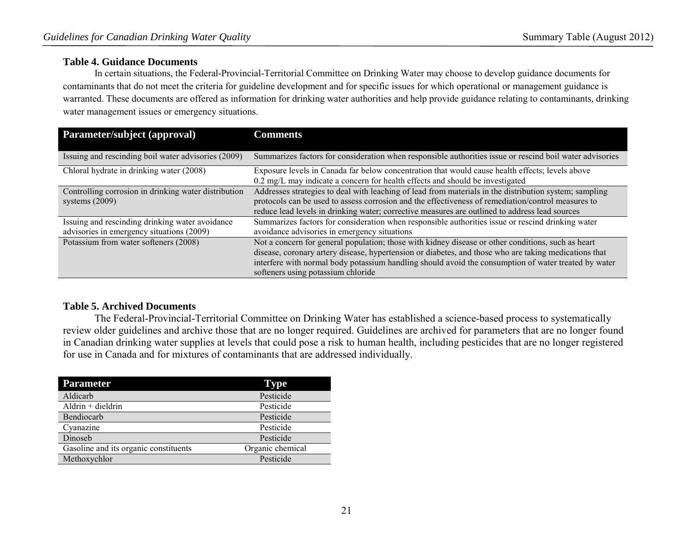#### <span id="page-20-0"></span>**Table 4. Guidance Documents**

In certain situations, the Federal-Provincial-Territorial Committee on Drinking Water may choose to develop guidance documents for contaminants that do not meet the criteria for guideline development and for specific issues for which operational or management guidance is warranted. These documents are offered as information for drinking water authorities and help provide guidance relating to contaminants, drinking water management issues or emergency situations.

| Parameter/subject (approval)                                                                 | <b>Comments</b>                                                                                                                                                                                                                                                                                                                                           |
|----------------------------------------------------------------------------------------------|-----------------------------------------------------------------------------------------------------------------------------------------------------------------------------------------------------------------------------------------------------------------------------------------------------------------------------------------------------------|
| Issuing and rescinding boil water advisories (2009)                                          | Summarizes factors for consideration when responsible authorities issue or rescind boil water advisories                                                                                                                                                                                                                                                  |
| Chloral hydrate in drinking water (2008)                                                     | Exposure levels in Canada far below concentration that would cause health effects; levels above<br>0.2 mg/L may indicate a concern for health effects and should be investigated                                                                                                                                                                          |
| Controlling corrosion in drinking water distribution<br>systems $(2009)$                     | Addresses strategies to deal with leaching of lead from materials in the distribution system; sampling<br>protocols can be used to assess corrosion and the effectiveness of remediation/control measures to<br>reduce lead levels in drinking water; corrective measures are outlined to address lead sources                                            |
| Issuing and rescinding drinking water avoidance<br>advisories in emergency situations (2009) | Summarizes factors for consideration when responsible authorities issue or rescind drinking water<br>avoidance advisories in emergency situations                                                                                                                                                                                                         |
| Potassium from water softeners (2008)                                                        | Not a concern for general population; those with kidney disease or other conditions, such as heart<br>disease, coronary artery disease, hypertension or diabetes, and those who are taking medications that<br>interfere with normal body potassium handling should avoid the consumption of water treated by water<br>softeners using potassium chloride |

### <span id="page-20-1"></span>**Table 5. Archived Documents**

The Federal-Provincial-Territorial Committee on Drinking Water has established a science-based process to systematically review older guidelines and archive those that are no longer required. Guidelines are archived for parameters that are no longer found in Canadian drinking water supplies at levels that could pose a risk to human health, including pesticides that are no longer registered for use in Canada and for mixtures of contaminants that are addressed individually.

| <b>Parameter</b>                      | <b>Type</b>      |
|---------------------------------------|------------------|
| Aldicarb                              | Pesticide        |
| $Aldrin + dieldrin$                   | Pesticide        |
| Bendiocarb                            | Pesticide        |
| Cyanazine                             | Pesticide        |
| Dinoseb                               | Pesticide        |
| Gasoline and its organic constituents | Organic chemical |
| Methoxychlor                          | Pesticide        |